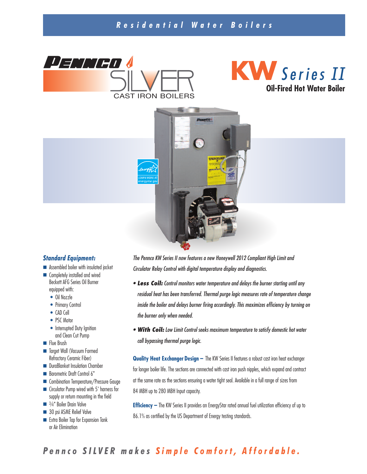### *R e s i d e n t i a l W a t e r B o i l e r s*







#### *Standard Equipment:*

- Assembled boiler with insulated jacket
- Completely installed and wired Beckett AFG Series Oil Burner equipped with:
	- Oil Nozzle
	- Primary Control
	- CAD Cell
	- PSC Motor
	- Interrupted Duty Ignition and Clean Cut Pump
- Flue Brush
- Target Wall (Vacuum Formed Refractory Ceramic Fiber)
- DuraBlanket Insulation Chamber
- Barometric Draft Control 6"
- Combination Temperature/Pressure Gauge
- Circulator Pump wired with 5' harness for supply or return mounting in the field
- <sup>3</sup>/4" Boiler Drain Valve
- 30 psi ASME Relief Valve
- Extra Boiler Tap for Expansion Tank or Air Elimination

*The Pennco KW Series II now features a new Honeywell 2012 Compliant High Limit and Circulator Relay Control with digital temperature display and diagnostics.*

- *• Less Coil: Control monitors water temperature and delays the burner starting until any residual heat has been transferred. Thermal purge logic measures rate of temperature change inside the boiler and delays burner firing accordingly. This maximizes efficiency by turning on the burner only when needed.*
- *• With Coil: Low Limit Control seeks maximum temperature to satisfy domestic hot water call bypassing thermal purge logic.*

**Quality Heat Exchanger Design –** The KW Series II features a robust cast iron heat exchanger for longer boiler life. The sections are connected with cast iron push nipples, which expand and contract at the same rate as the sections ensuring a water tight seal. Available in a full range of sizes from 84 MBH up to 280 MBH Input capacity.

**Efficiency –** The KW Series II provides an EnergyStar rated annual fuel utilization efficiency of up to 86.1% as certified by the US Department of Energy testing standards.

# Pennco SILVER makes Simple Comfort, Affordable.